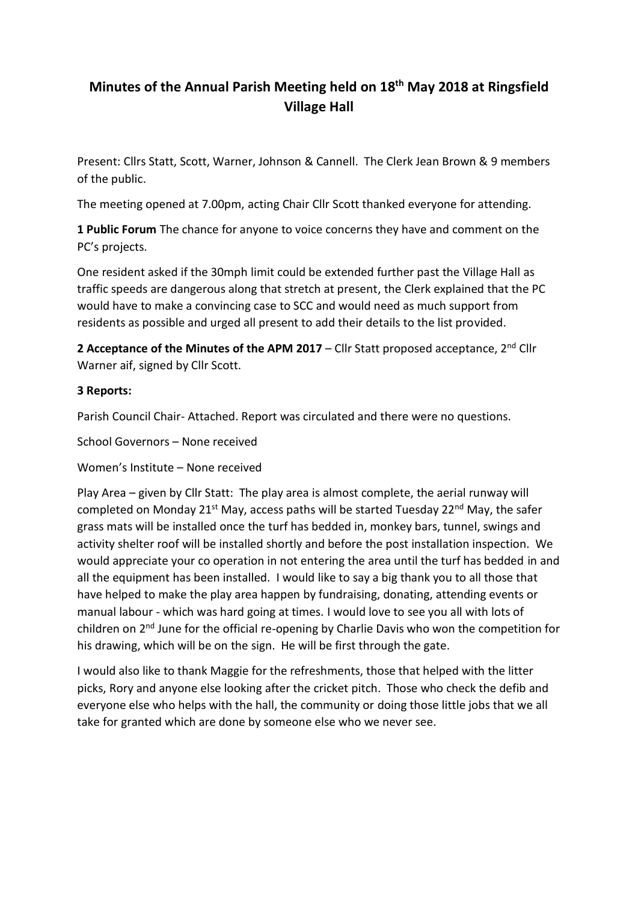## **Minutes of the Annual Parish Meeting held on 18 th May 2018 at Ringsfield Village Hall**

Present: Cllrs Statt, Scott, Warner, Johnson & Cannell. The Clerk Jean Brown & 9 members of the public.

The meeting opened at 7.00pm, acting Chair Cllr Scott thanked everyone for attending.

**1 Public Forum** The chance for anyone to voice concerns they have and comment on the PC's projects.

One resident asked if the 30mph limit could be extended further past the Village Hall as traffic speeds are dangerous along that stretch at present, the Clerk explained that the PC would have to make a convincing case to SCC and would need as much support from residents as possible and urged all present to add their details to the list provided.

**2 Acceptance of the Minutes of the APM 2017** – Cllr Statt proposed acceptance, 2<sup>nd</sup> Cllr Warner aif, signed by Cllr Scott.

## **3 Reports:**

Parish Council Chair- Attached. Report was circulated and there were no questions.

School Governors – None received

Women's Institute – None received

Play Area – given by Cllr Statt: The play area is almost complete, the aerial runway will completed on Monday 21<sup>st</sup> May, access paths will be started Tuesday 22<sup>nd</sup> May, the safer grass mats will be installed once the turf has bedded in, monkey bars, tunnel, swings and activity shelter roof will be installed shortly and before the post installation inspection. We would appreciate your co operation in not entering the area until the turf has bedded in and all the equipment has been installed. I would like to say a big thank you to all those that have helped to make the play area happen by fundraising, donating, attending events or manual labour - which was hard going at times. I would love to see you all with lots of children on 2<sup>nd</sup> June for the official re-opening by Charlie Davis who won the competition for his drawing, which will be on the sign. He will be first through the gate.

I would also like to thank Maggie for the refreshments, those that helped with the litter picks, Rory and anyone else looking after the cricket pitch. Those who check the defib and everyone else who helps with the hall, the community or doing those little jobs that we all take for granted which are done by someone else who we never see.